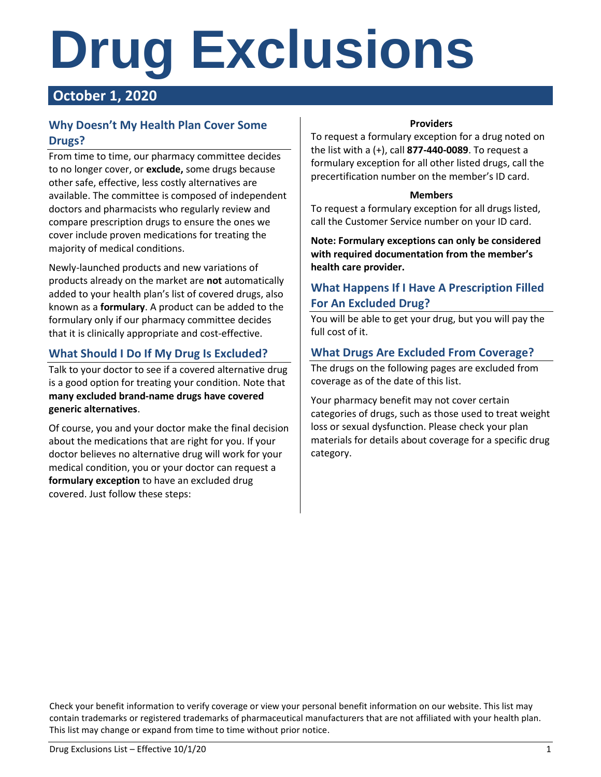# **Drug Exclusions**

# **October 1, 2020**

# **Why Doesn't My Health Plan Cover Some Drugs?**

From time to time, our pharmacy committee decides to no longer cover, or **exclude,** some drugs because other safe, effective, less costly alternatives are available. The committee is composed of independent doctors and pharmacists who regularly review and compare prescription drugs to ensure the ones we cover include proven medications for treating the majority of medical conditions.

Newly-launched products and new variations of products already on the market are **not** automatically added to your health plan's list of covered drugs, also known as a **formulary**. A product can be added to the formulary only if our pharmacy committee decides that it is clinically appropriate and cost-effective.

# **What Should I Do If My Drug Is Excluded?**

Talk to your doctor to see if a covered alternative drug is a good option for treating your condition. Note that **many excluded brand-name drugs have covered generic alternatives**.

Of course, you and your doctor make the final decision about the medications that are right for you. If your doctor believes no alternative drug will work for your medical condition, you or your doctor can request a **formulary exception** to have an excluded drug covered. Just follow these steps:

### **Providers**

To request a formulary exception for a drug noted on the list with a (+), call **877-440-0089**. To request a formulary exception for all other listed drugs, call the precertification number on the member's ID card.

#### **Members**

To request a formulary exception for all drugs listed, call the Customer Service number on your ID card.

**Note: Formulary exceptions can only be considered with required documentation from the member's health care provider.**

# **What Happens If I Have A Prescription Filled For An Excluded Drug?**

You will be able to get your drug, but you will pay the full cost of it.

# **What Drugs Are Excluded From Coverage?**

The drugs on the following pages are excluded from coverage as of the date of this list.

Your pharmacy benefit may not cover certain categories of drugs, such as those used to treat weight loss or sexual dysfunction. Please check your plan materials for details about coverage for a specific drug category.

Check your benefit information to verify coverage or view your personal benefit information on our website. This list may contain trademarks or registered trademarks of pharmaceutical manufacturers that are not affiliated with your health plan. This list may change or expand from time to time without prior notice.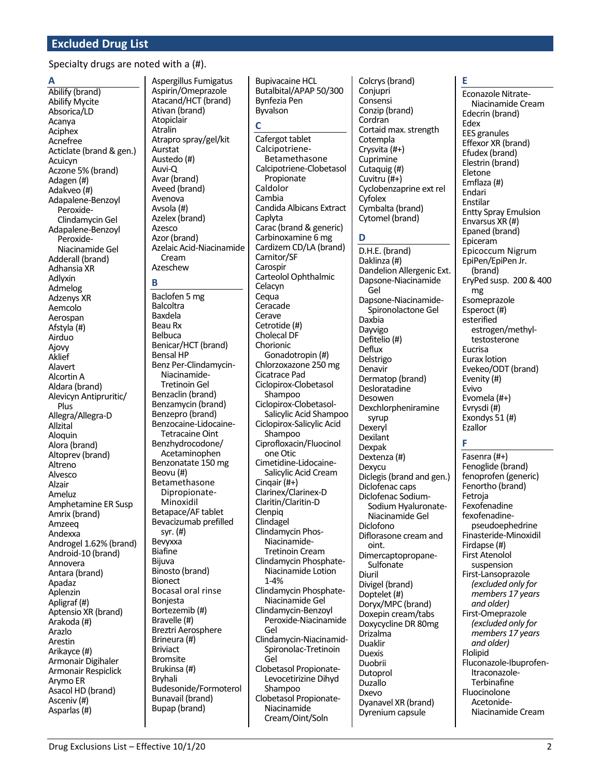Specialty drugs are noted with a (#).

#### A

Abilify (brand) Abilify Mycite Absorica/LD Acanya Aciphex Acnefree Acticlate (brand & gen.) Acuicyn Aczone 5% (brand) Adagen (#) Adakveo (#) Adapalene-Benzoyl Peroxide-Clindamycin Gel Adapalene-Benzoyl Peroxide-Niacinamide Gel Adderall (brand) Adhansia XR Adlyxin Admelog **Adzenys XR** Aemcolo Aerospan Afstyla (#) Airduo Aiovv Aklief Alavert Alcortin A Aldara (brand) Alevicyn Antipruritic/ Plus Allegra/Allegra-D Allzital Aloguin Alora (brand) Altoprev (brand) Altreno Alvesco Alzair Ameluz Amphetamine ER Susp Amrix (brand) Amzeea Andexxa Androgel 1.62% (brand) Android-10 (brand) Annovera Antara (brand) Apadaz Aplenzin Apligraf (#) Aptensio XR (brand) Arakoda (#) Arazlo Arestin Arikayce (#) Armonair Digihaler **Armonair Respiclick** Arymo ER Asacol HD (brand) Asceniv (#) Asparlas (#)

Aspergillus Fumigatus Aspirin/Omeprazole Atacand/HCT (brand) Ativan (brand) Atopiclair **Atralin** Atrapro spray/gel/kit Aurstat Austedo (#) Auvi-Q Avar (brand) Aveed (brand) Avenova Avsola (#) Azelex (brand) Azesco Azor (brand) Azelaic Acid-Niacinamide Cream Azeschew

#### B

Baclofen 5 mg **Balcoltra** Baxdela **Beau Rx Belbuca** Benicar/HCT (brand) **Bensal HP** Benz Per-Clindamycin-Niacinamide-**Tretinoin Gel** Benzaclin (brand) Benzamycin (brand) Benzepro (brand) Benzocaine-Lidocaine-**Tetracaine Oint** Benzhydrocodone/ Acetaminophen Benzonatate 150 mg Beovu (#) Betamethasone Dipropionate-Minoxidil Betapace/AF tablet Bevacizumab prefilled syr.  $(#)$ Bevyxxa **Biafine** Bijuva Binosto (brand) **Bionect Bocasal oral rinse** Bonjesta Bortezemib (#) Bravelle (#) Breztri Aerosphere Brineura (#) **Briviact Bromsite** Brukinsa (#) **Bryhali** Budesonide/Formoterol Bunavail (brand) Bupap (brand)

**Bupivacaine HCL** Butalbital/APAP 50/300 Bynfezia Pen Bvvalson

#### C

Cafergot tablet Calcipotriene-Betamethasone Calcipotriene-Clobetasol Propionate Caldolor Cambia Candida Albicans Extract Caplyta Carac (brand & generic) Carbinoxamine 6 mg Cardizem CD/LA (brand) Carnitor/SF Carospir Carteolol Ophthalmic Celacyn Cequa Ceracade Cerave Cetrotide (#) Cholecal DF Chorionic Gonadotropin (#) Chlorzoxazone 250 mg Cicatrace Pad Ciclopirox-Clobetasol Shampoo Ciclopirox-Clobetasol-Salicylic Acid Shampoo Ciclopirox-Salicylic Acid Shampoo Ciprofloxacin/Fluocinol one Otic Cimetidine-Lidocaine-Salicylic Acid Cream Cingair $(#+)$ Clarinex/Clarinex-D Claritin/Claritin-D Clenpig Clindagel Clindamycin Phos-Niacinamide-**Tretinoin Cream** Clindamycin Phosphate-Niacinamide Lotion  $1 - 4%$ Clindamycin Phosphate-Niacinamide Gel Clindamycin-Benzoyl Peroxide-Niacinamide Gel Clindamycin-Niacinamid-Spironolac-Tretinoin Gel Clobetasol Propionate-Levocetirizine Dihyd Shampoo Clobetasol Propionate-Niacinamide Cream/Oint/Soln

Colcrys (brand) Conjupri Consensi Conzip (brand) Cordran Cortaid max. strength Cotempla Crysvita (#+) Cuprimine Cutaquig (#) Cuvitru (#+) Cyclobenzaprine ext rel Cyfolex Cymbalta (brand) Cytomel (brand)

D.H.E. (brand) Daklinza (#) Dandelion Allergenic Ext. Dapsone-Niacinamide Gel Dapsone-Niacinamide-Spironolactone Gel Daxbia Dayvigo Defitelio (#) Deflux Delstrigo Denavir Dermatop (brand) Desloratadine Desowen Dexchlorpheniramine svrup Dexeryl Dexilant Dexpak Dextenza (#) Dexvcu Diclegis (brand and gen.) Diclofenac caps Diclofenac Sodium-Sodium Hvaluronate-Niacinamide Gel Diclofono Diflorasone cream and oint. Dimercaptopropane-Sulfonate Diuril Divigel (brand) Doptelet (#) Doryx/MPC (brand) Doxepin cream/tabs Doxycycline DR 80mg Drizalma **Duaklir Duexis** Duobrii Dutoprol **Duzallo** Dxevo Dyanavel XR (brand) Dyrenium capsule

#### F

Econazole Nitrate-Niacinamide Cream Edecrin (brand) Edex **EES** granules Effexor XR (brand) Efudex (brand) Elestrin (brand) Eletone Emflaza (#) Endari **Fnstilar Entty Spray Emulsion** Envarsus XR (#) Epaned (brand) Epiceram Epicoccum Nigrum EpiPen/EpiPen Jr. (brand) EryPed susp. 200 & 400 mg Esomeprazole Esperoct (#) esterified estrogen/methyltestosterone Eucrisa **Furax lotion** Evekeo/ODT (brand) Evenity (#) Evivo Evomela (#+) Evrysdi (#) Exondys  $51$  (#) Ezallor

#### F

Fasenra (#+) Fenoglide (brand) fenoprofen (generic) Fenortho (brand) Fetroja Fexofenadine fexofenadinepseudoephedrine Finasteride-Minoxidil Firdapse (#) **First Atenolol** suspension First-Lansoprazole (excluded only for members 17 years and older) First-Omeprazole (excluded only for members 17 years and older) Flolipid Fluconazole-Ibuprofen-Itraconazole-Terbinafine Fluocinolone Acetonide-Niacinamide Cream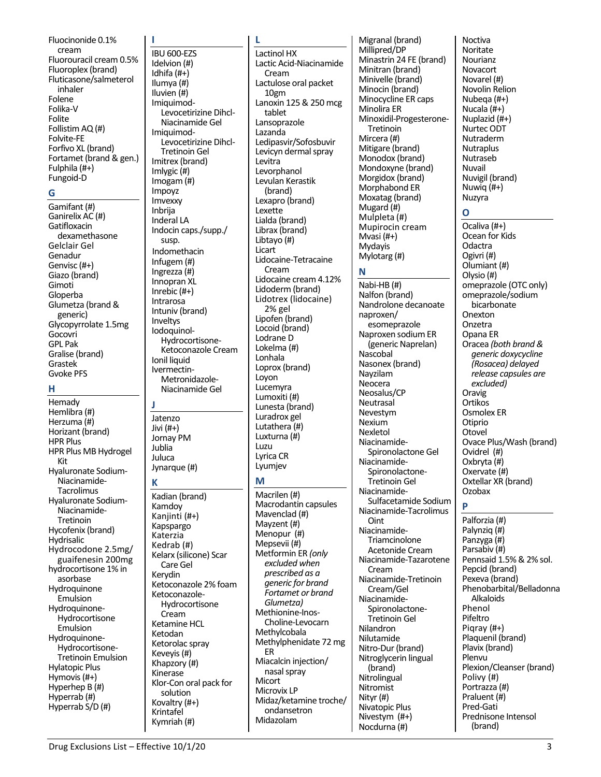Fluocinonide 0.1% cream Fluorouracil cream 0.5% Fluoroplex (brand) Fluticasone/salmeterol inhaler Folene Folika-V Folite Follistim AQ (#) Folvite-FE Forfivo XL (brand) Fortamet (brand & gen.) Fulphila (#+) Fungoid-D

#### G

Gamifant (#) Ganirelix AC (#) Gatifloxacin dexamethasone Gelclair Gel Genadur Genvisc (#+) Giazo (brand) Gimoti Gloperba Glumetza (brand & generic) Glycopyrrolate 1.5mg Gocovri **GPL Pak** Gralise (brand) Grastek **Gvoke PFS** 

#### н

Hemady Hemlibra (#) Herzuma (#) Horizant (brand) **HPR Plus** HPR Plus MB Hydrogel Kit Hyaluronate Sodium-Niacinamide-Tacrolimus Hyaluronate Sodium-Niacinamide-Tretinoin Hycofenix (brand) Hydrisalic Hydrocodone 2.5mg/ guaifenesin 200mg hydrocortisone 1% in asorbase Hydroquinone Emulsion Hydroquinone-Hydrocortisone Emulsion Hydroquinone-Hydrocortisone-**Tretinoin Emulsion Hylatopic Plus** Hymovis  $(\#+)$ Hyperhep B (#) Hyperrab (#) Hyperrab S/D (#)

IBU 600-EZS Idelvion (#) Idhifa $(#+ )$ Ilumya (#) Iluvien (#) Imiquimod-Levocetirizine Dihcl-Niacinamide Gel Imiauimod-Levocetirizine Dihcl-**Tretinoin Gel** Imitrex (brand) Imlygic  $(H)$ Imogam $(H)$ Impoyz Imvexxy Inbrija Inderal LA Indocin caps./supp./ susp. Indomethacin Infugem $(H)$ Ingrezza $(H)$ Innopran XL Inrebic  $(#+ )$ Intrarosa Intuniv (brand) Inveltys lodoguinol-Hydrocortisone-Ketoconazole Cream Ionil liquid Ivermectin-Metronidazole-Niacinamide Gel J. Jatenzo Jivi  $(H+)$ Jornay PM Jublia

# К

Juluca

Jynarque (#)

Kadian (brand) Kamdoy Kanjinti (#+) Kapspargo Katerzia Kedrab (#) Kelarx (silicone) Scar Care Gel Kerydin Ketoconazole 2% foam Ketoconazole-Hydrocortisone Cream Ketamine HCL Ketodan Ketorolac spray Keveyis (#) Khapzory (#) Kinerase Klor-Con oral pack for solution Kovaltry (#+) Krintafel Kymriah (#)

**Lactinol HX** Lactic Acid-Niacinamide Cream Lactulose oral packet 10gm Lanoxin 125 & 250 mcg tablet Lansoprazole Lazanda Ledipasvir/Sofosbuvir Levicyn dermal spray Levitra Levorphanol Levulan Kerastik (brand) Lexapro (brand) Lexette Lialda (brand) Librax (brand) Libtayo (#) Licart Lidocaine-Tetracaine Cream Lidocaine cream 4.12% Lidoderm (brand) Lidotrex (lidocaine) 2% gel Lipofen (brand) Locoid (brand) Lodrane D Lokelma (#) Lonhala Loprox (brand) Loyon Lucemyra Lumoxiti (#) Lunesta (brand) Luradrox gel Lutathera (#) Luxturna (#) Luzu Lyrica CR Lyumjev M Macrilen (#) Macrodantin capsules Mavenclad (#) Mayzent (#) Menopur (#) Mepsevii (#) Metformin ER (only excluded when prescribed as a generic for brand Fortamet or brand Glumetza)

Methionine-Inos-

Methylcobala

**FR** 

Micort

Microvix LP

Midazolam

Choline-Levocarn

Methylphenidate 72 mg

Midaz/ketamine troche/

Miacalcin injection/

nasal spray

ondansetron

Migranal (brand) Millipred/DP Minastrin 24 FE (brand) Minitran (brand) Minivelle (brand) Minocin (brand) Minocycline ER caps Minolira ER Minoxidil-Progesterone-Tretinoin Mircera (#) Mitigare (brand) Monodox (brand) Mondoxyne (brand) Morgidox (brand) Morphabond ER Moxatag (brand) Mugard (#) Mulpleta (#) Mupirocin cream Mvasi (#+) **Mydavis** Mylotarg (#)

#### N

Nabi-HB (#) Nalfon (brand) Nandrolone decanoate naproxen/ esomeprazole Naproxen sodium ER (generic Naprelan) Nascobal Nasonex (brand) Navzilam Neocera Neosalus/CP Neutrasal Nevestvm Nexium Nexletol Niacinamide-Spironolactone Gel Niacinamide-Spironolactone-**Tretinoin Gel** Niacinamide-Sulfacetamide Sodium Niacinamide-Tacrolimus Oint Niacinamide-Triamcinolone Acetonide Cream Niacinamide-Tazarotene Cream Niacinamide-Tretinoin Cream/Gel Niacinamide-Spironolactone-**Tretinoin Gel** Nilandron Nilutamide Nitro-Dur (brand) Nitroglycerin lingual (brand) Nitrolingual Nitromist Nityr (#) Nivatopic Plus Nivestym (#+) Nocdurna (#)

**Noctiva** Noritate Nourianz Novacort Novarel (#) Novolin Relion Nubega (#+) Nucala (#+) Nuplazid (#+) Nurtec ODT Nutraderm **Nutraplus** Nutraseb Nuvail Nuvigil (brand) Nuwiq $(#+)$ Nuzyra

#### $\Omega$

Ocaliva (#+) Ocean for Kids Odactra Ogivri (#) Olumiant (#) Olysio (#) omeprazole (OTC only) omeprazole/sodium hicarhonate Onexton Onzetra Opana ER Oracea (both brand & generic doxycycline (Rosacea) delayed release capsules are excluded) Oravig Ortikos Osmolex ER Otiprio Otovel Ovace Plus/Wash (brand) Ovidrel (#) Oxbryta (#) Oxervate (#) Oxtellar XR (brand) Ozobax

Palforzia (#) Palynziq (#) Panzyga (#) Parsabiv (#) Pennsaid 1.5% & 2% sol. Pepcid (brand) Pexeva (brand) Phenobarbital/Belladonna Alkaloids Phenol Pifeltro Pigray  $(#+)$ Plaquenil (brand) Plavix (brand) Plenvu Plexion/Cleanser (brand) Polivy (#) Portrazza (#) Praluent (#) Pred-Gati Prednisone Intensol (brand)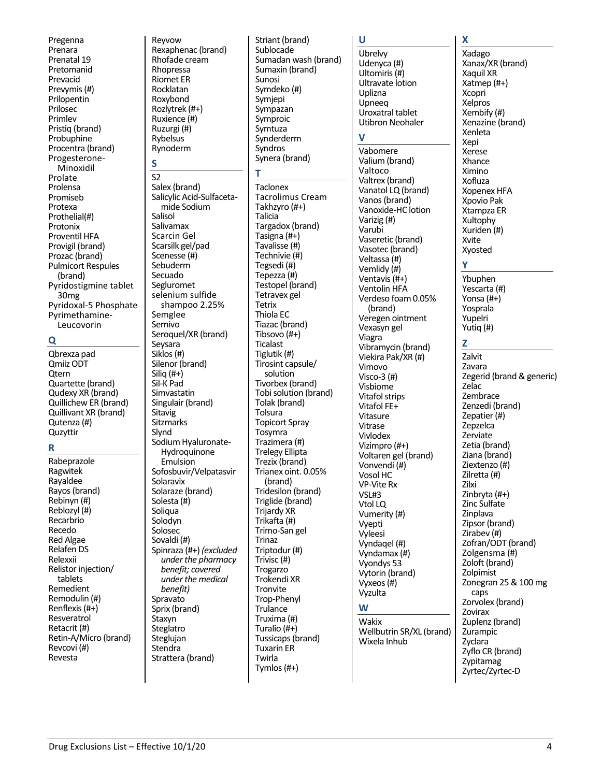Pregenna Prenara Prenatal 19 Pretomanid Prevacid Prevymis (#) Prilopentin Prilosec Primlev Pristiq (brand) Probuphine Procentra (brand) Progesterone-Minoxidil Prolate Prolensa Promiseb Protexa Prothelial(#) Protonix Proventil HFA Provigil (brand) Prozac (brand) **Pulmicort Respules** (brand) Pyridostigmine tablet 30<sub>mg</sub> Pyridoxal-5 Phosphate Pyrimethamine-Leucovorin

#### O

Qbrexza pad Omiiz ODT Otern Quartette (brand) Qudexy XR (brand) Quillichew ER (brand) Quillivant XR (brand) Qutenza (#) Quzyttir

#### R

Rabeprazole Ragwitek Rayaldee Rayos (brand) Rebinyn (#) Reblozyl (#) Recarbrio Recedo **Red Algae** Relafen DS Relexxii Relistor injection/ tablets Remedient Remodulin (#) Renflexis  $(H+)$ Resveratrol Retacrit (#) Retin-A/Micro (brand) Revcovi (#) Revesta

Revvow Rexaphenac (brand) Rhofade cream Rhopressa **Riomet ER** Rocklatan Roxybond Rozlytrek (#+) Ruxience (#) Ruzurgi (#) Rybelsus Rynoderm

#### S

 $S<sub>2</sub>$ Salex (brand) Salicylic Acid-Sulfacetamide Sodium Salisol Salivamax **Scarcin Gel** Scarsilk gel/pad Scenesse (#) Sebuderm Secuado Segluromet selenium sulfide shampoo 2.25% Semglee Sernivo Seroquel/XR (brand) Seysara Siklos (#) Silenor (brand) Siliq  $(H+)$ Sil-K Pad Simvastatin Singulair (brand) Sitavig **Sitzmarks** Slynd Sodium Hyaluronate-Hydroquinone **Fmulsion** Sofosbuvir/Velpatasvir Solaravix Solaraze (brand) Solesta  $(\overrightarrow{\mu})$ Soligua Solodvn Solosec Sovaldi (#) Spinraza (#+) (excluded under the pharmacy benefit; covered under the medical benefit) Spravato Sprix (brand) Staxyn Steglatro Steglujan Stendra Strattera (brand)

Striant (brand) Sublocade Sumadan wash (brand) Sumaxin (brand) Sunosi Symdeko (#) Symjepi Sympazan Symproic Symtuza Synderderm Syndros Synera (brand)

т Taclonex **Tacrolimus Cream** Takhzyro (#+) Talicia Targadox (brand) Tasigna (#+) Tavalisse (#) Technivie (#) Tegsedi (#) Tepezza (#) Testopel (brand) Tetravex gel Tetrix Thiola EC Tiazac (brand) Tibsovo $(#+)$ **Ticalast** Tiglutik (#) Tirosint capsule/ solution Tivorbex (brand) Tobi solution (brand) Tolak (brand) Tolsura **Topicort Spray** Tosymra Trazimera (#) **Trelegy Ellipta** Trezix (brand) Trianex oint. 0.05% (brand) Tridesilon (brand) Triglide (brand) **Trijardv XR** Trikafta (#) Trimo-San gel Trinaz Triptodur (#) Trivisc (#) Trogarzo Trokendi XR Tronvite Trop-Phenyl Trulance Truxima (#) Turalio (#+) Tussicaps (brand) **Tuxarin ER** Twirla Tymlos  $(\#+)$ 

#### u

Ubrelvy Udenyca (#) Ultomiris (#) Ultravate lotion Uplizna Upneeq Uroxatral tablet Utibron Neohaler

#### $\mathbf v$

Vabomere Valium (brand) Valtoco Valtrex (brand) Vanatol LQ (brand) Vanos (brand) Vanoxide-HC lotion Varizig (#) Varubi Vaseretic (brand) Vasotec (brand) Veltassa (#) Vemlidy (#) Ventavis (#+) Ventolin HFA Verdeso foam 0.05% (brand) Veregen ointment Vexasyn gel Viagra Vibramycin (brand) Viekira Pak/XR (#) Vimovo Visco-3 $(H)$ Vishiome **Vitafol strips** Vitafol FE+ Vitasure Vitrase Vivlodex Vizimpro (#+) Voltaren gel (brand) Vonvendi (#) Vosol HC **VP-Vite Rx** VSL#3 Vtol LQ Vumerity (#) Vyepti Vyleesi Vyndagel (#) Vyndamax (#) Vyondys 53 Vytorin (brand) Vyxeos (#) Vyzulta

#### W

Wakix Wellbutrin SR/XL (brand) Wixela Inhub

# X

Xadago Xanax/XR (brand) Xaquil XR Xatmep (#+) Xcopri Xelpros Xembify  $(#)$ Xenazine (brand) Xenleta Xepi Xerese Xhance Ximino Xofluza **Xopenex HFA** Xpovio Pak Xtampza ER Xultophy Xuriden (#) Xvite Xyosted

Ybuphen Yescarta (#) Yonsa  $(H+)$ Yosprala Yupelri Yutiq (#)

#### 7

Zalvit **Zavara** Zegerid (brand & generic) Zelac Zembrace Zenzedi (brand) Zepatier (#) Zepzelca Zerviate Zetia (brand) Ziana (brand) Ziextenzo (#) Zilretta (#) Zilxi Zinbryta  $(#+)$ Zinc Sulfate Zinplava Zipsor (brand) Zirabev (#) Zofran/ODT (brand) Zolgensma (#) Zoloft (brand) Zolpimist Zonegran 25 & 100 mg caps Zorvolex (brand) Zovirax Zuplenz (brand) Zurampic Zyclara Zyflo CR (brand) Zypitamag Zyrtec/Zyrtec-D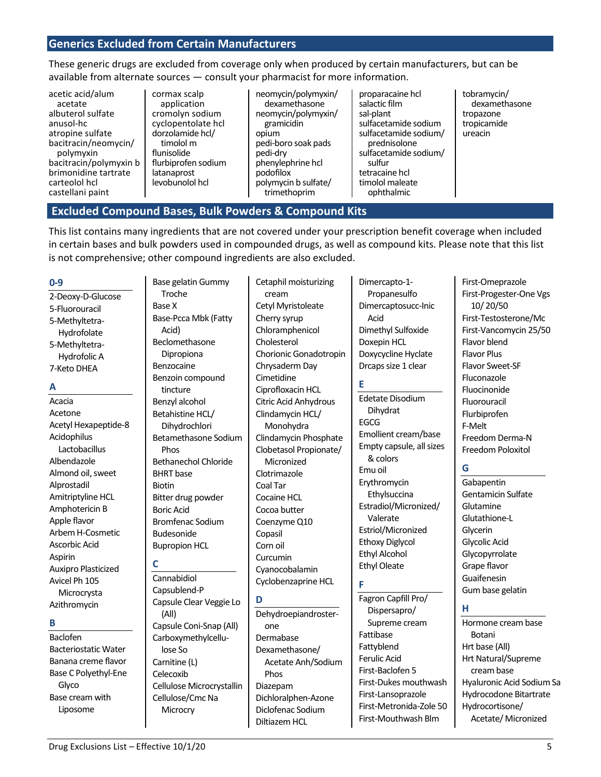## **Generics Excluded from Certain Manufacturers**

These generic drugs are excluded from coverage only when produced by certain manufacturers, but can be available from alternate sources — consult your pharmacist for more information.

- acetic acid/alum acetate albuterol sulfate anusol-hc atropine sulfate bacitracin/neomycin/ polymyxin bacitracin/polymyxin b brimonidine tartrate carteolol hcl castellani paint
- cormax scalp application cromolyn sodium cyclopentolate hcl dorzolamide hcl/ timolol m flunisolide flurbiprofen sodium latanaprost levobunolol hcl

neomycin/polymyxin/ dexamethasone neomycin/polymyxin/ gramicidin opium pedi-boro soak pads pedi-dry phenylephrine hcl podofilox polymycin b sulfate/ trimethoprim

proparacaine hcl salactic film sal-plant sulfacetamide sodium sulfacetamide sodium/ prednisolone sulfacetamide sodium/ sulfur tetracaine hcl timolol maleate ophthalmic

tobramycin/ dexamethasone tropazone tropicamide ureacin

#### **Excluded Compound Bases, Bulk Powders & Compound Kits**

This list contains many ingredients that are not covered under your prescription benefit coverage when included in certain bases and bulk powders used in compounded drugs, as well as compound kits. Please note that this list is not comprehensive; other compound ingredients are also excluded.

#### **0-9**

2-Deoxy-D-Glucose 5-Fluorouracil 5-Methyltetra-Hydrofolate 5-Methyltetra-Hydrofolic A 7-Keto DHEA

#### **A**

Acacia Acetone Acetyl Hexapeptide-8 Acidophilus Lactobacillus Albendazole Almond oil, sweet Alprostadil Amitriptyline HCL Amphotericin B Apple flavor Arbem H-Cosmetic Ascorbic Acid Aspirin Auxipro Plasticized Avicel Ph 105 Microcrysta Azithromycin

#### **B**

Baclofen Bacteriostatic Water Banana creme flavor Base C Polyethyl-Ene Glyco Base cream with Liposome

Troche Base X Base-Pcca Mbk (Fatty Acid) Beclomethasone Dipropiona Benzocaine Benzoin compound tincture Benzyl alcohol Betahistine HCL/ Dihydrochlori Betamethasone Sodium Phos Bethanechol Chloride BHRT base Biotin Bitter drug powder Boric Acid Bromfenac Sodium Budesonide Bupropion HCL

Base gelatin Gummy

# **C**

Cannabidiol Capsublend-P Capsule Clear Veggie Lo (All) Capsule Coni-Snap (All) Carboxymethylcellulose So Carnitine (L) Celecoxib Cellulose Microcrystallin Cellulose/Cmc Na **Microcry** 

Cetaphil moisturizing cream Cetyl Myristoleate Cherry syrup Chloramphenicol Cholesterol Chorionic Gonadotropin Chrysaderm Day Cimetidine Ciprofloxacin HCL Citric Acid Anhydrous Clindamycin HCL/ Monohydra Clindamycin Phosphate Clobetasol Propionate/ Micronized Clotrimazole Coal Tar Cocaine HCL Cocoa butter Coenzyme Q10 Copasil Corn oil Curcumin Cyanocobalamin Cyclobenzaprine HCL

#### **D** Dehydroepiandrosterone Dermabase Dexamethasone/ Acetate Anh/Sodium Phos Diazepam Dichloralphen-Azone Diclofenac Sodium Diltiazem HCL

Dimercapto-1- Propanesulfo Dimercaptosucc-Inic Acid Dimethyl Sulfoxide Doxepin HCL Doxycycline Hyclate Drcaps size 1 clear

#### **E**

Edetate Disodium Dihydrat EGCG Emollient cream/base Empty capsule, all sizes & colors Emu oil Erythromycin Ethylsuccina Estradiol/Micronized/ Valerate Estriol/Micronized Ethoxy Diglycol Ethyl Alcohol Ethyl Oleate

#### **F**

Fagron Capfill Pro/ Dispersapro/ Supreme cream Fattibase Fattyblend Ferulic Acid First-Baclofen 5 First-Dukes mouthwash First-Lansoprazole First-Metronida-Zole 50 First-Mouthwash Blm

First-Omeprazole First-Progester-One Vgs 10/ 20/50 First-Testosterone/Mc First-Vancomycin 25/50 Flavor blend Flavor Plus Flavor Sweet-SF Fluconazole Fluocinonide Fluorouracil Flurbiprofen F-Melt Freedom Derma-N Freedom Poloxitol

# **G**

**Gabapentin** Gentamicin Sulfate Glutamine Glutathione-L Glycerin Glycolic Acid Glycopyrrolate Grape flavor Guaifenesin Gum base gelatin

#### **H**

Hormone cream base Botani Hrt base (All) Hrt Natural/Supreme cream base Hyaluronic Acid Sodium Sa Hydrocodone Bitartrate Hydrocortisone/ Acetate/ Micronized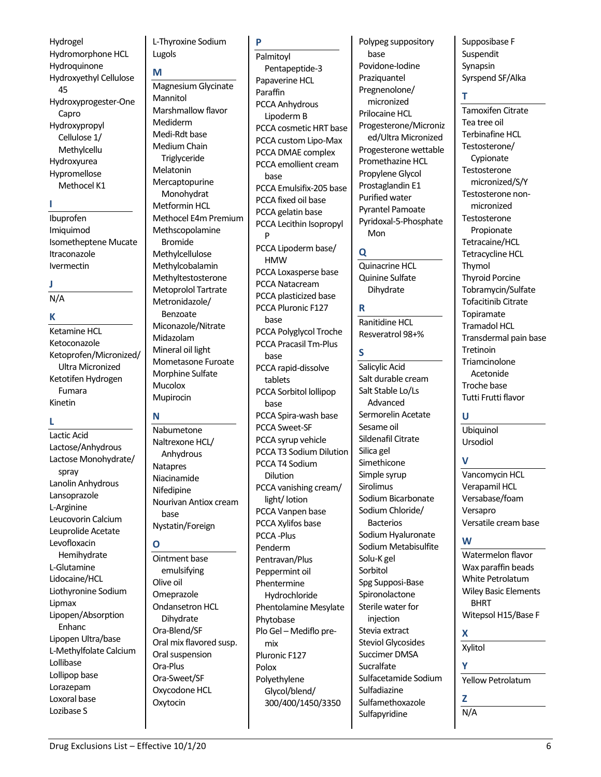Hydrogel Hydromorphone HCL Hydroquinone Hydroxyethyl Cellulose 45 Hydroxyprogester-One Capro Hydroxypropyl Cellulose 1/ Methylcellu Hydroxyurea Hypromellose Methocel K1

#### **I**

Ibuprofen Imiquimod Isometheptene Mucate Itraconazole Ivermectin

#### **J**

N/A

#### **K**

Ketamine HCL Ketoconazole Ketoprofen/Micronized/ Ultra Micronized Ketotifen Hydrogen Fumara Kinetin

## **L**

Lactic Acid Lactose/Anhydrous Lactose Monohydrate/ spray Lanolin Anhydrous Lansoprazole L-Arginine Leucovorin Calcium Leuprolide Acetate Levofloxacin Hemihydrate L-Glutamine Lidocaine/HCL Liothyronine Sodium Lipmax Lipopen/Absorption Enhanc Lipopen Ultra/base L-Methylfolate Calcium Lollibase Lollipop base Lorazepam Loxoral base Lozibase S

## L-Thyroxine Sodium Lugols

#### **M**

Magnesium Glycinate Mannitol Marshmallow flavor Mediderm Medi-Rdt base Medium Chain **Triglyceride** Melatonin Mercaptopurine Monohydrat Metformin HCL Methocel E4m Premium Methscopolamine Bromide Methylcellulose Methylcobalamin Methyltestosterone Metoprolol Tartrate Metronidazole/ Benzoate Miconazole/Nitrate Midazolam Mineral oil light Mometasone Furoate Morphine Sulfate Mucolox Mupirocin

#### **N**

Nabumetone Naltrexone HCL/ Anhydrous Natapres Niacinamide **Nifedipine** Nourivan Antiox cream base Nystatin/Foreign

#### **O**

Ointment base emulsifying Olive oil Omeprazole Ondansetron HCL Dihydrate Ora-Blend/SF Oral mix flavored susp. Oral suspension Ora-Plus Ora-Sweet/SF Oxycodone HCL Oxytocin

**P** Palmitoyl Pentapeptide-3 Papaverine HCL Paraffin PCCA Anhydrous Lipoderm B PCCA cosmetic HRT base PCCA custom Lipo-Max PCCA DMAE complex PCCA emollient cream base PCCA Emulsifix-205 base PCCA fixed oil base PCCA gelatin base PCCA Lecithin Isopropyl P PCCA Lipoderm base/ HMW PCCA Loxasperse base PCCA Natacream PCCA plasticized base PCCA Pluronic F127 base PCCA Polyglycol Troche PCCA Pracasil Tm-Plus base PCCA rapid-dissolve tablets PCCA Sorbitol lollipop base PCCA Spira-wash base PCCA Sweet-SF PCCA syrup vehicle PCCA T3 Sodium Dilution PCCA T4 Sodium Dilution PCCA vanishing cream/ light/lotion PCCA Vanpen base PCCA Xylifos base PCCA -Plus Penderm Pentravan/Plus Peppermint oil Phentermine Hydrochloride Phentolamine Mesylate Phytobase Plo Gel – Mediflo pre-

Pluronic F127 Polyethylene Glycol/blend/ 300/400/1450/3350 **S**

mix

Polox

Polypeg suppository base Povidone-Iodine **Praziquantel** Pregnenolone/ micronized Prilocaine HCL Progesterone/Microniz ed/Ultra Micronized Progesterone wettable Promethazine HCL Propylene Glycol Prostaglandin E1 Purified water Pyrantel Pamoate Pyridoxal-5-Phosphate Mon

#### **Q**

Quinacrine HCL Quinine Sulfate Dihydrate

**R**

Ranitidine HCL Resveratrol 98+%

Salicylic Acid Salt durable cream Salt Stable Lo/Ls Advanced Sermorelin Acetate Sesame oil Sildenafil Citrate Silica gel Simethicone Simple syrup Sirolimus Sodium Bicarbonate Sodium Chloride/ Bacterios Sodium Hyaluronate Sodium Metabisulfite Solu-K gel Sorbitol Spg Supposi-Base Spironolactone Sterile water for injection Stevia extract Steviol Glycosides Succimer DMSA Sucralfate Sulfacetamide Sodium Sulfadiazine Sulfamethoxazole Sulfapyridine

Supposibase F Suspendit Synapsin Syrspend SF/Alka

# **T**

Tamoxifen Citrate Tea tree oil Terbinafine HCL Testosterone/ Cypionate Testosterone micronized/S/Y Testosterone nonmicronized **Testosterone** Propionate Tetracaine/HCL Tetracycline HCL Thymol Thyroid Porcine Tobramycin/Sulfate Tofacitinib Citrate Topiramate Tramadol HCL Transdermal pain base Tretinoin **Triamcinolone** Acetonide Troche base Tutti Frutti flavor

#### **U**

Ubiquinol Ursodiol

#### **V**

Vancomycin HCL Verapamil HCL Versabase/foam Versapro Versatile cream base

#### **W**

Watermelon flavor Wax paraffin beads White Petrolatum Wiley Basic Elements BHRT Witepsol H15/Base F

# **X**

Xylitol

#### **Y**

Yellow Petrolatum

**Z** N/A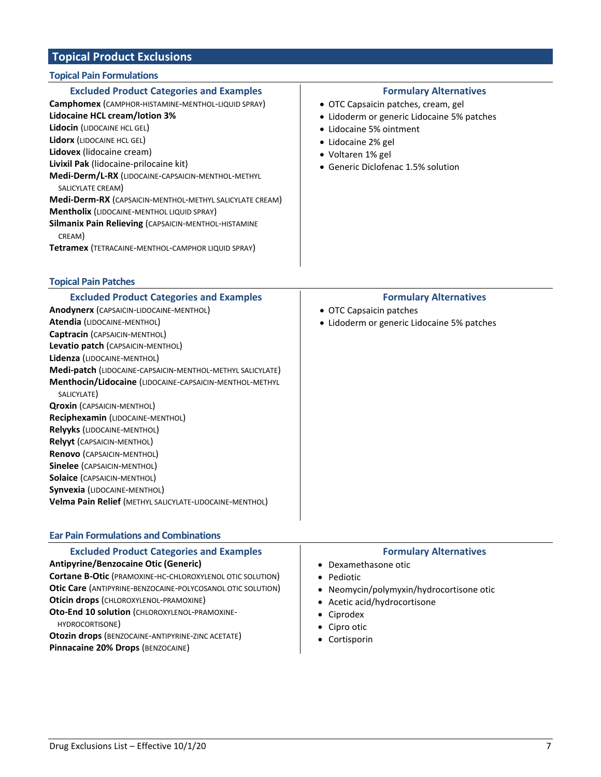# **Topical Product Exclusions**

## **Topical Pain Formulations**

| <b>Excluded Product Categories and Examples</b>                                                                                                                                                                                                                                                                 | <b>Formulary Alternatives</b>                                                                                                                          |
|-----------------------------------------------------------------------------------------------------------------------------------------------------------------------------------------------------------------------------------------------------------------------------------------------------------------|--------------------------------------------------------------------------------------------------------------------------------------------------------|
| Camphomex (CAMPHOR-HISTAMINE-MENTHOL-LIQUID SPRAY)                                                                                                                                                                                                                                                              | • OTC Capsaicin patches, cream, gel                                                                                                                    |
| <b>Lidocaine HCL cream/lotion 3%</b><br>Lidocin (LIDOCAINE HCL GEL)<br>Lidorx (LIDOCAINE HCL GEL)<br>Lidovex (lidocaine cream)<br>Livixil Pak (lidocaine-prilocaine kit)<br>Medi-Derm/L-RX (LIDOCAINE-CAPSAICIN-MENTHOL-METHYL<br>SALICYLATE CREAM)<br>Medi-Derm-RX (CAPSAICIN-MENTHOL-METHYL SALICYLATE CREAM) | • Lidoderm or generic Lidocaine 5% patches<br>• Lidocaine 5% ointment<br>• Lidocaine 2% gel<br>• Voltaren 1% gel<br>• Generic Diclofenac 1.5% solution |
| <b>Mentholix (LIDOCAINE-MENTHOL LIQUID SPRAY)</b>                                                                                                                                                                                                                                                               |                                                                                                                                                        |
| <b>Silmanix Pain Relieving (CAPSAICIN-MENTHOL-HISTAMINE</b><br>CREAM)                                                                                                                                                                                                                                           |                                                                                                                                                        |
| Tetramex (TETRACAINE-MENTHOL-CAMPHOR LIQUID SPRAY)                                                                                                                                                                                                                                                              |                                                                                                                                                        |

#### **Topical Pain Patches**

| <b>Excluded Product Categories and Examples</b>                   | <b>Formulary Alternatives</b>              |
|-------------------------------------------------------------------|--------------------------------------------|
| Anodynerx (CAPSAICIN-LIDOCAINE-MENTHOL)                           | • OTC Capsaicin patches                    |
| <b>Atendia (LIDOCAINE-MENTHOL)</b>                                | • Lidoderm or generic Lidocaine 5% patches |
| Captracin (CAPSAICIN-MENTHOL)                                     |                                            |
| Levatio patch (CAPSAICIN-MENTHOL)                                 |                                            |
| Lidenza (LIDOCAINE-MENTHOL)                                       |                                            |
| <b>Medi-patch (LIDOCAINE-CAPSAICIN-MENTHOL-METHYL SALICYLATE)</b> |                                            |
| <b>Menthocin/Lidocaine (LIDOCAINE-CAPSAICIN-MENTHOL-METHYL</b>    |                                            |
| SALICYLATE)                                                       |                                            |
| <b>Qroxin (CAPSAICIN-MENTHOL)</b>                                 |                                            |
| Reciphexamin (LIDOCAINE-MENTHOL)                                  |                                            |
| <b>Relyyks (LIDOCAINE-MENTHOL)</b>                                |                                            |
| <b>Relyyt (CAPSAICIN-MENTHOL)</b>                                 |                                            |
| <b>Renovo (CAPSAICIN-MENTHOL)</b>                                 |                                            |
| <b>Sinelee</b> (CAPSAICIN-MENTHOL)                                |                                            |
| <b>Solaice (CAPSAICIN-MENTHOL)</b>                                |                                            |
| <b>Synvexia (LIDOCAINE-MENTHOL)</b>                               |                                            |
| <b>Velma Pain Relief (METHYL SALICYLATE-LIDOCAINE-MENTHOL)</b>    |                                            |
|                                                                   |                                            |

| <b>Excluded Product Categories and Examples</b><br><b>Formulary Alternatives</b><br>• Dexamethasone otic<br>• Pediotic<br>• Neomycin/polymyxin/hydrocortisone otic<br>• Acetic acid/hydrocortisone<br>• Ciprodex<br>HYDROCORTISONE)<br>• Cipro otic<br>• Cortisporin | <b>Ear Pain Formulations and Combinations</b>                                                                                                                                                                                                                                                                                                                |  |  |
|----------------------------------------------------------------------------------------------------------------------------------------------------------------------------------------------------------------------------------------------------------------------|--------------------------------------------------------------------------------------------------------------------------------------------------------------------------------------------------------------------------------------------------------------------------------------------------------------------------------------------------------------|--|--|
|                                                                                                                                                                                                                                                                      | <b>Antipyrine/Benzocaine Otic (Generic)</b><br>Cortane B-Otic (PRAMOXINE-HC-CHLOROXYLENOL OTIC SOLUTION)<br>Otic Care (ANTIPYRINE-BENZOCAINE-POLYCOSANOL OTIC SOLUTION)<br>Oticin drops (CHLOROXYLENOL-PRAMOXINE)<br>Oto-End 10 solution (CHLOROXYLENOL-PRAMOXINE-<br>Otozin drops (BENZOCAINE-ANTIPYRINE-ZINC ACETATE)<br>Pinnacaine 20% Drops (BENZOCAINE) |  |  |